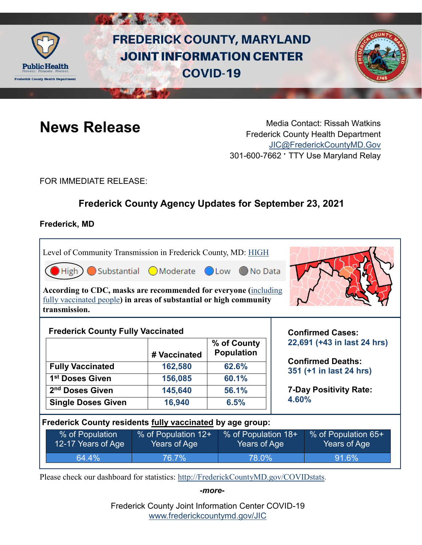

# **FREDERICK COUNTY, MARYLAND JOINT INFORMATION CENTER COVID-19**



**News Release** Media Contact: Rissah Watkins Frederick County Health Department [JIC@FrederickCountyMD.Gov](mailto:JIC@FrederickCountyMD.Gov) 301-600-7662 • TTY Use Maryland Relay

FOR IMMEDIATE RELEASE:

## **Frederick County Agency Updates for September 23, 2021**

## **Frederick, MD**

Level of Community Transmission in Frederick County, MD: [HIGH](https://covid.cdc.gov/covid-data-tracker/#county-view)  $\Box$ High  $\bigcirc$  Substantial  $\bigcirc$  Moderate  $\bigcirc$  Low ◯ No Data **According to CDC, masks are recommended for everyone (**[including](https://www.cdc.gov/coronavirus/2019-ncov/vaccines/fully-vaccinated-guidance.html)  [fully vaccinated people](https://www.cdc.gov/coronavirus/2019-ncov/vaccines/fully-vaccinated-guidance.html)**) in areas of substantial or high community** 

**transmission.** 

| <b>Frederick County Fully Vaccinated</b> |              |                                  |  |
|------------------------------------------|--------------|----------------------------------|--|
|                                          | # Vaccinated | % of County<br><b>Population</b> |  |
| <b>Fully Vaccinated</b>                  | 162,580      | 62.6%                            |  |
| 1 <sup>st</sup> Doses Given              | 156,085      | 60.1%                            |  |
| 2 <sup>nd</sup> Doses Given              | 145,640      | 56.1%                            |  |
| <b>Single Doses Given</b>                | 16,940       | 6.5%                             |  |



**Confirmed Deaths: 351 (+1 in last 24 hrs)**

**7-Day Positivity Rate: 4.60%**

## **Frederick County residents fully vaccinated by age group:**

| % of Population    | % of Population 12+ | % of Population 18+       | % of Population 65+ |
|--------------------|---------------------|---------------------------|---------------------|
| 12-17 Years of Age | Years of Age        | Years of Age <sup>1</sup> | Years of Age        |
| 64.4%              | 76.7%               | $178.0\%$                 | 91.6%               |

Please check our dashboard for statistics: [http://FrederickCountyMD.gov/COVIDstats.](http://frederickcountymd.gov/COVIDstats)

*-more-*

Frederick County Joint Information Center COVID-19 [www.frederickcountymd.gov/JIC](https://frederickcountymd.gov/JIC)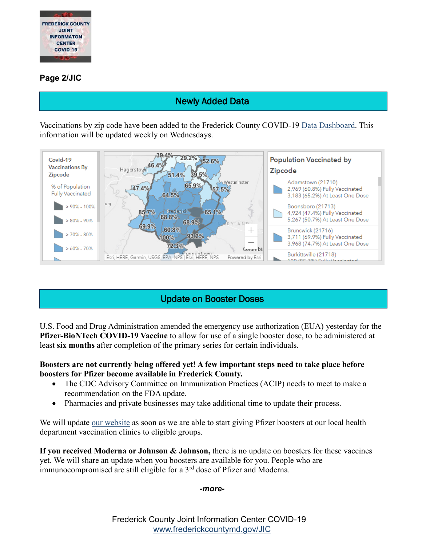

## **Page 2/JIC**

## Newly Added Data

Vaccinations by zip code have been added to the Frederick County COVID-19 [Data Dashboard.](http://frederickcountymd.gov/COVIDstats) This information will be updated weekly on Wednesdays.



## Update on Booster Doses

U.S. Food and Drug Administration amended the emergency use authorization (EUA) yesterday for the **Pfizer-BioNTech COVID-19 Vaccine** to allow for use of a single booster dose, to be administered at least **six months** after completion of the primary series for certain individuals.

#### **Boosters are not currently being offered yet! A few important steps need to take place before boosters for Pfizer become available in Frederick County.**

- The CDC Advisory Committee on Immunization Practices (ACIP) needs to meet to make a recommendation on the FDA update.
- Pharmacies and private businesses may take additional time to update their process.

We will update [our website](https://health.frederickcountymd.gov/629/COVID-19-Vaccine) as soon as we are able to start giving Pfizer boosters at our local health department vaccination clinics to eligible groups.

**If you received Moderna or Johnson & Johnson,** there is no update on boosters for these vaccines yet. We will share an update when you boosters are available for you. People who are immunocompromised are still eligible for a  $3<sup>rd</sup>$  dose of Pfizer and Moderna.

#### *-more-*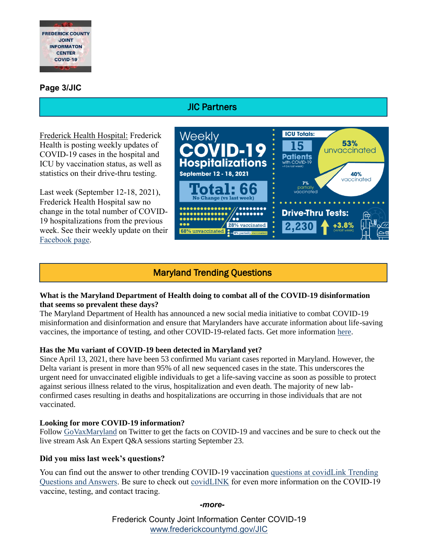

## **Page 3/JIC**

## JIC Partners

Frederick Health Hospital: Frederick Health is posting weekly updates of COVID-19 cases in the hospital and ICU by vaccination status, as well as statistics on their drive-thru testing.

Last week (September 12-18, 2021), Frederick Health Hospital saw no change in the total number of COVID-19 hospitalizations from the previous week. See their weekly update on their [Facebook page.](https://www.facebook.com/frederickhealth)



## Maryland Trending Questions

#### **What is the Maryland Department of Health doing to combat all of the COVID-19 disinformation that seems so prevalent these days?**

The Maryland Department of Health has announced a new social media initiative to combat COVID-19 misinformation and disinformation and ensure that Marylanders have accurate information about life-saving vaccines, the importance of testing, and other COVID-19-related facts. Get more information [here.](https://health.maryland.gov/newsroom/Pages/MDH-Launches-Social-Media-Initiative-to-Combat-Misinformation.aspx)

### **Has the Mu variant of COVID-19 been detected in Maryland yet?**

Since April 13, 2021, there have been 53 confirmed Mu variant cases reported in Maryland. However, the Delta variant is present in more than 95% of all new sequenced cases in the state. This underscores the urgent need for unvaccinated eligible individuals to get a life-saving vaccine as soon as possible to protect against serious illness related to the virus, hospitalization and even death. The majority of new labconfirmed cases resulting in deaths and hospitalizations are occurring in those individuals that are not vaccinated.

#### **Looking for more COVID-19 information?**

Follow [GoVaxMaryland](https://twitter.com/GoVAXMaryland) on Twitter to get the facts on COVID-19 and vaccines and be sure to check out the live stream Ask An Expert Q&A sessions starting September 23.

### **Did you miss last week's questions?**

You can find out the answer to other trending COVID-19 vaccination [questions at covidLink](https://covidlink.maryland.gov/content/faqs/#trending) Trending [Questions and Answers.](https://covidlink.maryland.gov/content/faqs/#trending) Be sure to check out [covidLINK](https://covidlink.maryland.gov/content/) for even more information on the COVID-19 vaccine, testing, and contact tracing.

#### *-more-*

Frederick County Joint Information Center COVID-19 [www.frederickcountymd.gov/JIC](https://frederickcountymd.gov/JIC)